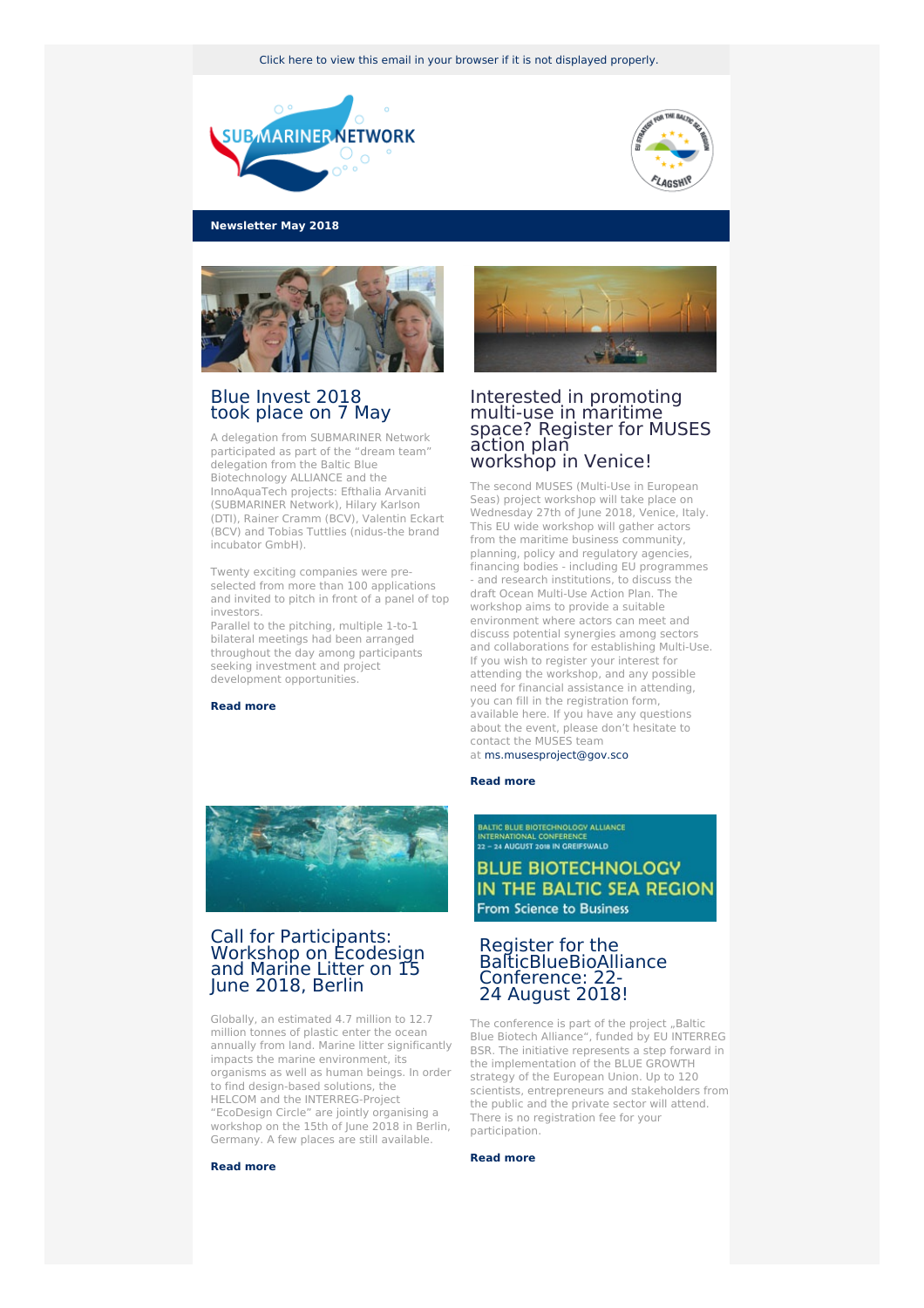Click here to view this email in your browser if it is not [displayed](http://www.newsletter-webversion.de/testmail/) properly.





**Newsletter May 2018**



# Blue [Invest](https://www.submariner-network.eu/projects/innoaquatech/innoaquatech-news/329-blueinvest) 2018 took [place](https://www.submariner-network.eu/projects/innoaquatech/innoaquatech-news/329-blueinvest) on 7 May

A delegation from SUBMARINER Network participated as part of the "dream team" delegation from the Baltic Blue Biotechnology ALLIANCE and the InnoAquaTech projects: Efthalia Arvaniti (SUBMARINER Network), Hilary Karlson (DTI), Rainer Cramm (BCV), Valentin Eckart (BCV) and Tobias Tuttlies (nidus-the brand incubator GmbH).

Twenty exciting companies were preselected from more than 100 applications and invited to pitch in front of a panel of top investors.

Parallel to the pitching, multiple 1-to-1 bilateral meetings had been arranged throughout the day among participants seeking investment and project development opportunities.

**[Read](https://www.submariner-network.eu/projects/innoaquatech/innoaquatech-news/329-blueinvest) more**



# Interested in promoting multi-use in maritime space? Register for MUSES action plan [workshop](https://muses-project.eu/2018/05/15/workshop-announcement-venice-27th-june/) in Venice!

The second MUSES (Multi-Use in European Seas) project workshop will take place on Wednesday 27th of June 2018, Venice, Italy. This EU wide workshop will gather actors from the maritime business community, planning, policy and regulatory agencies, financing bodies - including EU programmes - and research institutions, to discuss the draft Ocean Multi-Use Action Plan. The workshop aims to provide a suitable environment where actors can meet and discuss potential synergies among sectors and collaborations for establishing Multi-Use. If you wish to register your interest for attending the workshop, and any possible need for financial assistance in attending, you can fill in the registration form, available here. If you have any questions about the event, please don't hesitate to contact the MUSES team at <ms.musesproject@gov.sco>

#### **Read [more](https://muses-project.eu)**



## Call for [Participants:](https://www.ecodesigncircle.eu/resources-for-you/marine-litter-and-ecodesign) Workshop on Ecodesign and Marine Litter on 15 June 2018, Berlin

Globally, an estimated 4.7 million to 12.7 million tonnes of plastic enter the ocean annually from land. Marine litter significantly impacts the marine environment, its organisms as well as human beings. In order to find design-based solutions, the HELCOM and the INTERREG-Project "EcoDesign Circle" are jointly organising a workshop on the 15th of June 2018 in Berlin, Germany. A few places are still available.

#### **[Read](https://www.ecodesigncircle.eu/resources-for-you/marine-litter-and-ecodesign) more**

**BALTIC BLUE BIOTECHNOLOGY ALLIANCE** INTERNATIONAL CONFERENCE<br>22 – 24 AUGUST 2018 IN GREIFSWALD **BLUE BIOTECHNOLOGY** 

IN THE BALTIC SEA REGION From Science to Business

## Register for the [BalticBlueBioAlliance](https://www.submariner-network.eu/projects/balticbluebioalliance/conference) Conference: 22- 24 August 2018!

The conference is part of the project "Baltic Blue Biotech Alliance", funded by EU INTERREG BSR. The initiative represents a step forward in the implementation of the BLUE GROWTH strategy of the European Union. Up to 120 scientists, entrepreneurs and stakeholders from the public and the private sector will attend. There is no registration fee for your participation.

#### **Read [more](https://www.submariner-network.eu/projects/balticbluebioalliance/conference)**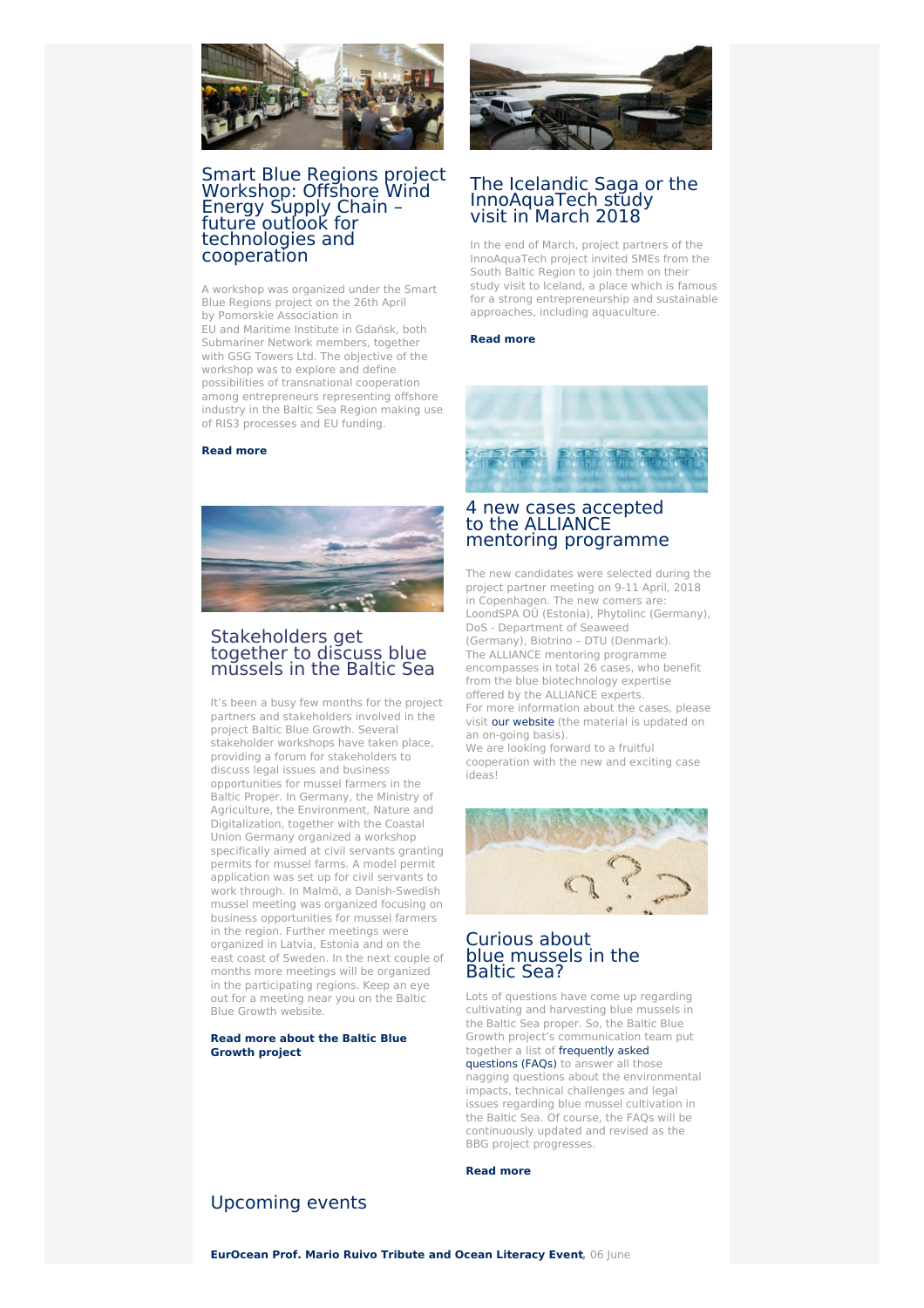

# Smart Blue Regions project Workshop: Offshore Wind Energy Supply Chain – future outlook for [technologies](https://www.submariner-network.eu/projects/smartblueregions/smart-blue-regions-news/324-offshore-wind-energy-supply-chain-future-outlook-for-technologies-and-cooperation) and cooperation

A workshop was organized under the Smart Blue Regions project on the 26th April by Pomorskie Association in EU and Maritime Institute in Gdańsk, both Submariner Network members, together with GSG Towers Ltd. The objective of the workshop was to explore and define possibilities of transnational cooperation among entrepreneurs representing offshore industry in the Baltic Sea Region making use of RIS3 processes and EU funding.

### **[Read](https://www.submariner-network.eu/projects/smartblueregions/smart-blue-regions-news/324-offshore-wind-energy-supply-chain-future-outlook-for-technologies-and-cooperation) more**



# Stakeholders get together to discuss blue mussels in the Baltic Sea

It's been a busy few months for the project partners and stakeholders involved in the project Baltic Blue Growth. Several stakeholder workshops have taken place, providing a forum for stakeholders to discuss legal issues and business opportunities for mussel farmers in the Baltic Proper. In Germany, the Ministry of Agriculture, the Environment, Nature and Digitalization, together with the Coastal Union Germany organized a workshop specifically aimed at civil servants granting permits for mussel farms. A model permit application was set up for civil servants to work through. In Malmö, a Danish-Swedish mussel meeting was organized focusing on business opportunities for mussel farmers in the region. Further meetings were organized in Latvia, Estonia and on the east coast of Sweden. In the next couple of months more meetings will be organized in the participating regions. Keep an eye out for a meeting near you on the Baltic Blue Growth website.

### **Read more about the Baltic Blue [Growth](https://www.submariner-network.eu/projects/balticbluegrowth) project**



# The Icelandic Saga or the [InnoAquaTech](https://www.submariner-network.eu/projects/innoaquatech/innoaquatech-news/330-innoaquatech-study-visit-to-iceland-the-island-of-volcano-rain-fish-and-microalgae) study visit in March 2018

In the end of March, project partners of the InnoAquaTech project invited SMEs from the South Baltic Region to join them on their study visit to Iceland, a place which is famous for a strong entrepreneurship and sustainable approaches, including aquaculture.

### **Read [more](https://www.submariner-network.eu/projects/innoaquatech/innoaquatech-news/330-innoaquatech-study-visit-to-iceland-the-island-of-volcano-rain-fish-and-microalgae)**



## 4 new cases accepted to the [ALLIANCE](https://www.submariner-network.eu/projects/balticbluebioalliance/alliance-cases) mentoring programme

The new candidates were selected during the project partner meeting on 9-11 April, 2018 in Copenhagen. The new comers are: LoondSPA OÜ (Estonia), Phytolinc (Germany), DoS - Department of Seaweed (Germany), Biotrino – DTU (Denmark). The ALLIANCE mentoring programme encompasses in total 26 cases, who benefit from the blue biotechnology expertise offered by the ALLIANCE experts. For more information about the cases, please visit our [website](https://www.submariner-network.eu/projects/balticbluebioalliance/alliance-cases) (the material is updated on an on-going basis). We are looking forward to a fruitful cooperation with the new and exciting case ideas!



# Curious about blue [mussels](https://www.submariner-network.eu/projects/balticbluegrowth/faqs) in the Baltic Sea?

Lots of questions have come up regarding cultivating and harvesting blue mussels in the Baltic Sea proper. So, the Baltic Blue Growth project's communication team put together a list of [frequently](https://www.submariner-network.eu/projects/balticbluegrowth/faqs) asked questions (FAQs) to answer all those nagging questions about the environmental impacts, technical challenges and legal issues regarding blue mussel cultivation in the Baltic Sea. Of course, the FAQs will be continuously updated and revised as the BBG project progresses.

### **Read [more](https://www.submariner-network.eu/projects/balticbluegrowth/faqs)**

# [Upcoming](https://www.submariner-network.eu/events) events